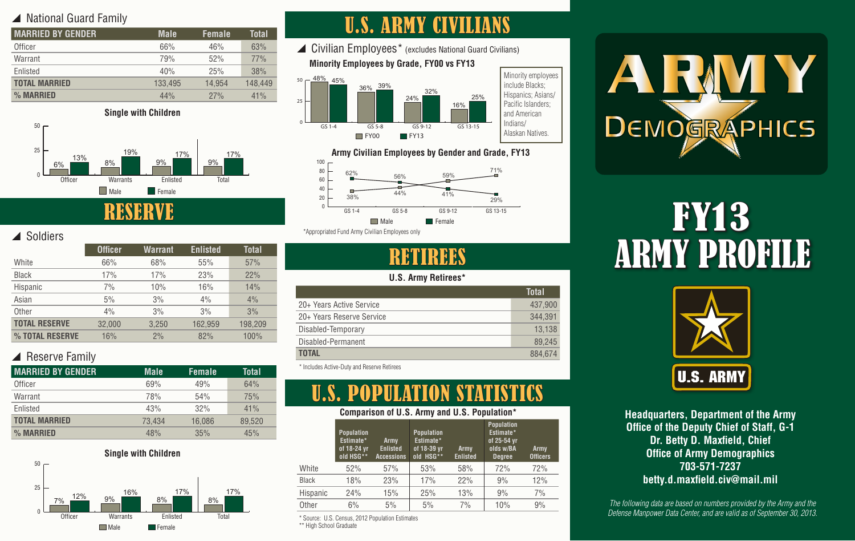## ▲ National Guard Family

| <b>MARRIED BY GENDER</b> | <b>Male</b> | <b>Female</b> | Total   |
|--------------------------|-------------|---------------|---------|
| Officer                  | 66%         | 46%           | 63%     |
| Warrant                  | 79%         | 52%           | 77%     |
| Enlisted                 | 40%         | 25%           | 38%     |
| <b>TOTAL MARRIED</b>     | 133,495     | 14.954        | 148,449 |
| % MARRIED                | 44%         | 27%           | 41%     |



y Soldiers

| uuluu                |                |         |                 |              |
|----------------------|----------------|---------|-----------------|--------------|
|                      | <b>Officer</b> | Warrant | <b>Enlisted</b> | <b>Total</b> |
| White                | 66%            | 68%     | 55%             | 57%          |
| <b>Black</b>         | 17%            | 17%     | 23%             | 22%          |
| Hispanic             | 7%             | 10%     | 16%             | 14%          |
| Asian                | 5%             | 3%      | 4%              | 4%           |
| Other                | 4%             | 3%      | 3%              | 3%           |
| <b>TOTAL RESERVE</b> | 32,000         | 3,250   | 162,959         | 198,209      |
| % TOTAL RESERVE      | 16%            | 2%      | 82%             | 100%         |

## $\blacktriangle$  Reserve Family

| <b>MARRIED BY GENDER</b> | <b>Male</b> | <b>Female</b> | Total  |
|--------------------------|-------------|---------------|--------|
| Officer                  | 69%         | 49%           | 64%    |
| Warrant                  | <b>78%</b>  | 54%           | 75%    |
| Enlisted                 | 43%         | 32%           | 41%    |
| <b>TOTAL MARRIED</b>     | 73,434      | 16,086        | 89,520 |
| % MARRIED                | 48%         | 35%           | 45%    |



# U.S. ARMY CIVILIANS

 $\triangle$  Civilian Employees\* (excludes National Guard Civilians) **Minority Employees by Grade, FY00 vs FY13**







RETIRE

#### **U.S. Army Retirees\***

|                           | Total   |
|---------------------------|---------|
| 20+ Years Active Service  | 437,900 |
| 20+ Years Reserve Service | 344.391 |
| Disabled-Temporary        | 13,138  |
| Disabled-Permanent        | 89.245  |
| <b>TOTAL</b>              | 884.674 |
|                           |         |

\* Includes Active-Duty and Reserve Retirees

# U.S. POPULATION STATISTICS

#### **Comparison of U.S. Army and U.S. Population\***

|          | <b>Population</b><br>Estimate*<br>of 18-24 yr<br>old HSG** | Army<br><b>Enlisted</b><br><b>Accessions</b> | <b>Population</b><br>Estimate*<br>of 18-39 yr<br>old HSG** | <b>Army</b><br><b>Enlisted</b> | <b>Population</b><br>Estimate*<br>of 25-54 yr<br>olds w/BA<br><b>Degree</b> | Army<br><b>Officers</b> |
|----------|------------------------------------------------------------|----------------------------------------------|------------------------------------------------------------|--------------------------------|-----------------------------------------------------------------------------|-------------------------|
| White    | 52%                                                        | 57%                                          | 53%                                                        | 58%                            | 72%                                                                         | 72%                     |
| Black    | 18%                                                        | 23%                                          | 17%                                                        | 22%                            | 9%                                                                          | 12%                     |
| Hispanic | 24%                                                        | 15%                                          | 25%                                                        | 13%                            | 9%                                                                          | 7%                      |
| Other    | $6\%$                                                      | 5%                                           | 5%                                                         | 7%                             | 10%                                                                         | 9%                      |
|          |                                                            |                                              |                                                            |                                |                                                                             |                         |

\* Source: U.S. Census, 2012 Population Estimates \*\* High School Graduate



# FY13 ARMY PROFILE



**Headquarters, Department of the Army Office of the Deputy Chief of Staff, G-1 Dr. Betty D. Maxfield, Chief Office of Army Demographics 703-571-7237 betty.d.maxfield.civ@mail.mil**

*The following data are based on numbers provided by the Army and the Defense Manpower Data Center, and are valid as of September 30, 2013.*